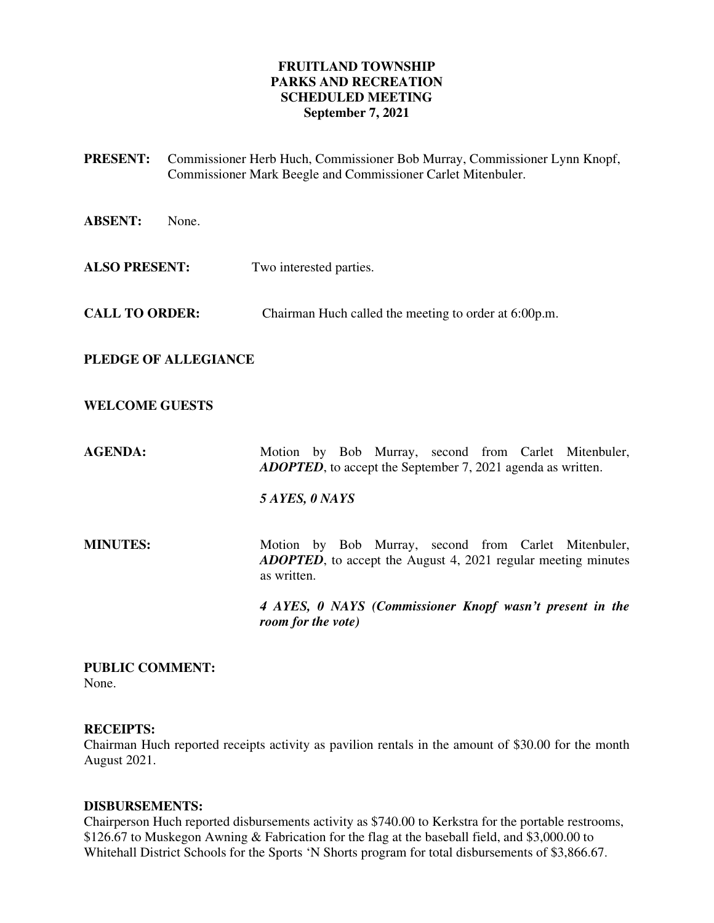# **FRUITLAND TOWNSHIP PARKS AND RECREATION SCHEDULED MEETING September 7, 2021**

**PRESENT:** Commissioner Herb Huch, Commissioner Bob Murray, Commissioner Lynn Knopf, Commissioner Mark Beegle and Commissioner Carlet Mitenbuler. **ABSENT:** None. **ALSO PRESENT:** Two interested parties. **CALL TO ORDER:** Chairman Huch called the meeting to order at 6:00p.m. **PLEDGE OF ALLEGIANCE WELCOME GUESTS AGENDA: Motion by Bob Murray, second from Carlet Mitenbuler,** *ADOPTED*, to accept the September 7, 2021 agenda as written. *5 AYES, 0 NAYS*  **MINUTES:** Motion by Bob Murray, second from Carlet Mitenbuler, *ADOPTED*, to accept the August 4, 2021 regular meeting minutes as written.  *4 AYES, 0 NAYS (Commissioner Knopf wasn't present in the room for the vote)* 

**PUBLIC COMMENT:**  None.

# **RECEIPTS:**

Chairman Huch reported receipts activity as pavilion rentals in the amount of \$30.00 for the month August 2021.

# **DISBURSEMENTS:**

Chairperson Huch reported disbursements activity as \$740.00 to Kerkstra for the portable restrooms, \$126.67 to Muskegon Awning & Fabrication for the flag at the baseball field, and \$3,000.00 to Whitehall District Schools for the Sports 'N Shorts program for total disbursements of \$3,866.67.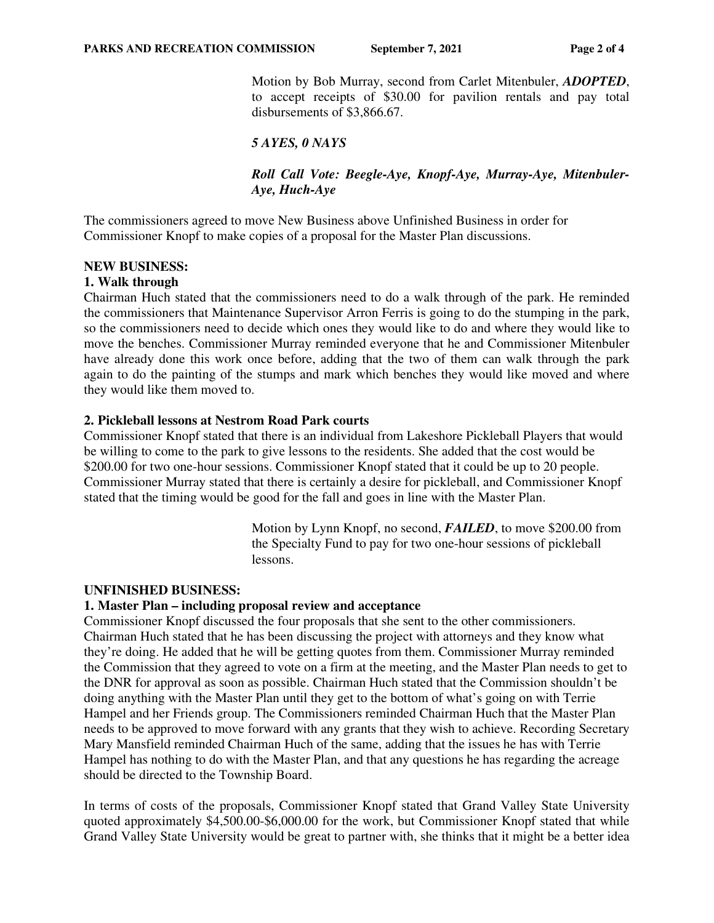Motion by Bob Murray, second from Carlet Mitenbuler, *ADOPTED*, to accept receipts of \$30.00 for pavilion rentals and pay total disbursements of \$3,866.67.

# *5 AYES, 0 NAYS*

*Roll Call Vote: Beegle-Aye, Knopf-Aye, Murray-Aye, Mitenbuler-Aye, Huch-Aye* 

The commissioners agreed to move New Business above Unfinished Business in order for Commissioner Knopf to make copies of a proposal for the Master Plan discussions.

### **NEW BUSINESS:**

### **1. Walk through**

Chairman Huch stated that the commissioners need to do a walk through of the park. He reminded the commissioners that Maintenance Supervisor Arron Ferris is going to do the stumping in the park, so the commissioners need to decide which ones they would like to do and where they would like to move the benches. Commissioner Murray reminded everyone that he and Commissioner Mitenbuler have already done this work once before, adding that the two of them can walk through the park again to do the painting of the stumps and mark which benches they would like moved and where they would like them moved to.

### **2. Pickleball lessons at Nestrom Road Park courts**

Commissioner Knopf stated that there is an individual from Lakeshore Pickleball Players that would be willing to come to the park to give lessons to the residents. She added that the cost would be \$200.00 for two one-hour sessions. Commissioner Knopf stated that it could be up to 20 people. Commissioner Murray stated that there is certainly a desire for pickleball, and Commissioner Knopf stated that the timing would be good for the fall and goes in line with the Master Plan.

> Motion by Lynn Knopf, no second, *FAILED*, to move \$200.00 from the Specialty Fund to pay for two one-hour sessions of pickleball lessons.

#### **UNFINISHED BUSINESS:**

#### **1. Master Plan – including proposal review and acceptance**

Commissioner Knopf discussed the four proposals that she sent to the other commissioners. Chairman Huch stated that he has been discussing the project with attorneys and they know what they're doing. He added that he will be getting quotes from them. Commissioner Murray reminded the Commission that they agreed to vote on a firm at the meeting, and the Master Plan needs to get to the DNR for approval as soon as possible. Chairman Huch stated that the Commission shouldn't be doing anything with the Master Plan until they get to the bottom of what's going on with Terrie Hampel and her Friends group. The Commissioners reminded Chairman Huch that the Master Plan needs to be approved to move forward with any grants that they wish to achieve. Recording Secretary Mary Mansfield reminded Chairman Huch of the same, adding that the issues he has with Terrie Hampel has nothing to do with the Master Plan, and that any questions he has regarding the acreage should be directed to the Township Board.

In terms of costs of the proposals, Commissioner Knopf stated that Grand Valley State University quoted approximately \$4,500.00-\$6,000.00 for the work, but Commissioner Knopf stated that while Grand Valley State University would be great to partner with, she thinks that it might be a better idea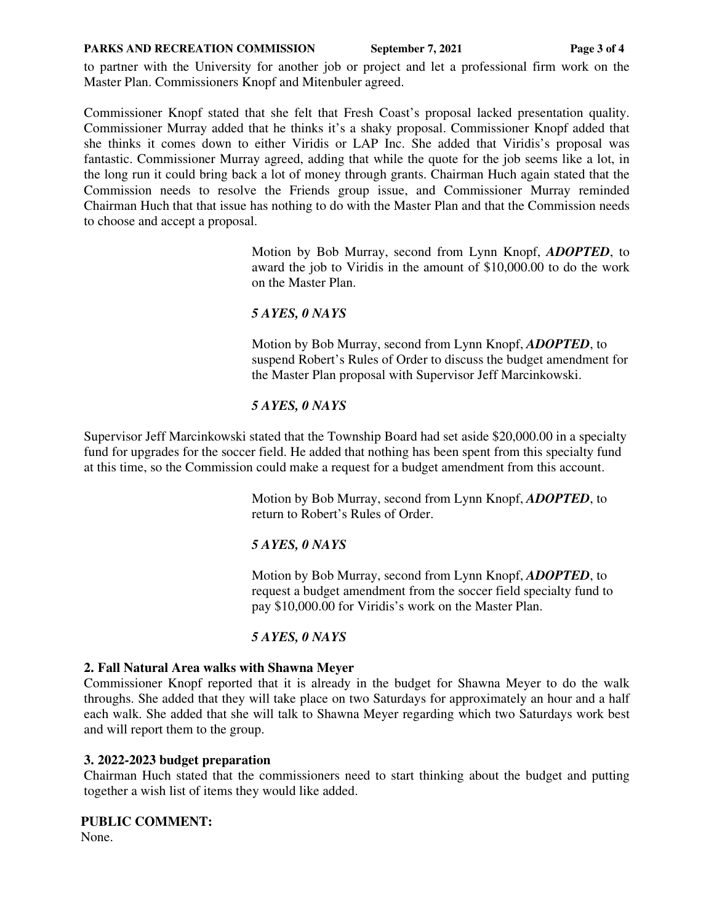#### **PARKS AND RECREATION COMMISSION** September 7, 2021 Page 3 of 4

to partner with the University for another job or project and let a professional firm work on the Master Plan. Commissioners Knopf and Mitenbuler agreed.

Commissioner Knopf stated that she felt that Fresh Coast's proposal lacked presentation quality. Commissioner Murray added that he thinks it's a shaky proposal. Commissioner Knopf added that she thinks it comes down to either Viridis or LAP Inc. She added that Viridis's proposal was fantastic. Commissioner Murray agreed, adding that while the quote for the job seems like a lot, in the long run it could bring back a lot of money through grants. Chairman Huch again stated that the Commission needs to resolve the Friends group issue, and Commissioner Murray reminded Chairman Huch that that issue has nothing to do with the Master Plan and that the Commission needs to choose and accept a proposal.

> Motion by Bob Murray, second from Lynn Knopf, *ADOPTED*, to award the job to Viridis in the amount of \$10,000.00 to do the work on the Master Plan.

## *5 AYES, 0 NAYS*

Motion by Bob Murray, second from Lynn Knopf, *ADOPTED*, to suspend Robert's Rules of Order to discuss the budget amendment for the Master Plan proposal with Supervisor Jeff Marcinkowski.

## *5 AYES, 0 NAYS*

Supervisor Jeff Marcinkowski stated that the Township Board had set aside \$20,000.00 in a specialty fund for upgrades for the soccer field. He added that nothing has been spent from this specialty fund at this time, so the Commission could make a request for a budget amendment from this account.

> Motion by Bob Murray, second from Lynn Knopf, *ADOPTED*, to return to Robert's Rules of Order.

# *5 AYES, 0 NAYS*

Motion by Bob Murray, second from Lynn Knopf, *ADOPTED*, to request a budget amendment from the soccer field specialty fund to pay \$10,000.00 for Viridis's work on the Master Plan.

# *5 AYES, 0 NAYS*

## **2. Fall Natural Area walks with Shawna Meyer**

Commissioner Knopf reported that it is already in the budget for Shawna Meyer to do the walk throughs. She added that they will take place on two Saturdays for approximately an hour and a half each walk. She added that she will talk to Shawna Meyer regarding which two Saturdays work best and will report them to the group.

## **3. 2022-2023 budget preparation**

Chairman Huch stated that the commissioners need to start thinking about the budget and putting together a wish list of items they would like added.

## **PUBLIC COMMENT:**

None.